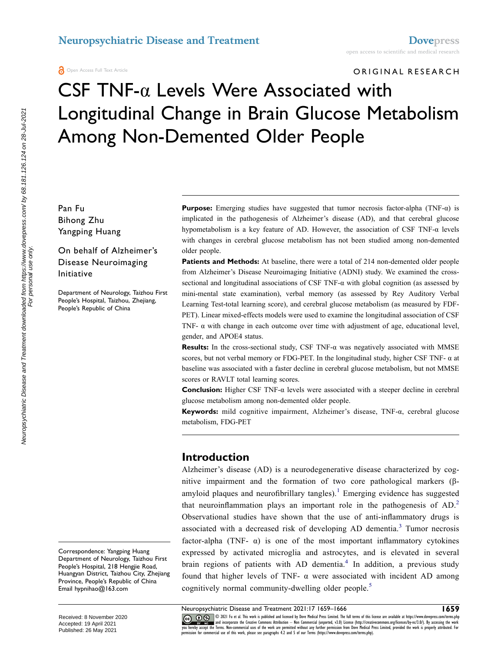ORIGINAL RESEARCH

# CSF TNF-α Levels Were Associated with Longitudinal Change in Brain Glucose Metabolism Among Non-Demented Older People

Pan Fu Bihong Zhu Yangping Huang

#### On behalf of Alzheimer's Disease Neuroimaging Initiative

Department of Neurology, Taizhou First People's Hospital, Taizhou, Zhejiang, People's Republic of China

**Purpose:** Emerging studies have suggested that tumor necrosis factor-alpha (TNF-α) is implicated in the pathogenesis of Alzheimer's disease (AD), and that cerebral glucose hypometabolism is a key feature of AD. However, the association of CSF TNF- $\alpha$  levels with changes in cerebral glucose metabolism has not been studied among non-demented older people.

**Patients and Methods:** At baseline, there were a total of 214 non-demented older people from Alzheimer's Disease Neuroimaging Initiative (ADNI) study. We examined the crosssectional and longitudinal associations of CSF TNF- $\alpha$  with global cognition (as assessed by mini-mental state examination), verbal memory (as assessed by Rey Auditory Verbal Learning Test-total learning score), and cerebral glucose metabolism (as measured by FDF-PET). Linear mixed-effects models were used to examine the longitudinal association of CSF TNF- $\alpha$  with change in each outcome over time with adjustment of age, educational level, gender, and APOE4 status.

**Results:** In the cross-sectional study, CSF TNF-α was negatively associated with MMSE scores, but not verbal memory or FDG-PET. In the longitudinal study, higher CSF TNF- α at baseline was associated with a faster decline in cerebral glucose metabolism, but not MMSE scores or RAVLT total learning scores.

**Conclusion:** Higher CSF TNF-α levels were associated with a steeper decline in cerebral glucose metabolism among non-demented older people.

**Keywords:** mild cognitive impairment, Alzheimer's disease, TNF-α, cerebral glucose metabolism, FDG-PET

#### **Introduction**

<span id="page-0-2"></span><span id="page-0-1"></span><span id="page-0-0"></span>Alzheimer's disease (AD) is a neurodegenerative disease characterized by cognitive impairment and the formation of two core pathological markers (β-amyloid plaques and neurofibrillary tangles).<sup>[1](#page-6-0)</sup> Emerging evidence has suggested that neuroinflammation plays an important role in the pathogenesis of AD.<sup>[2](#page-6-1)</sup> Observational studies have shown that the use of anti-inflammatory drugs is associated with a decreased risk of developing AD dementia.<sup>3</sup> Tumor necrosis factor-alpha (TNF- $\alpha$ ) is one of the most important inflammatory cytokines expressed by activated microglia and astrocytes, and is elevated in several brain regions of patients with AD dementia.<sup>[4](#page-6-3)</sup> In addition, a previous study found that higher levels of TNF-  $\alpha$  were associated with incident AD among cognitively normal community-dwelling older people.<sup>[5](#page-6-4)</sup>

<span id="page-0-3"></span>© 2021 Fu et al. This work is published and licensed by Dove Medical Press Limited. The full terms of this license are available at https://www.dovepress.com/terms.php<br>and incorporate the Creative Commons Attribution — Non

<span id="page-0-4"></span>you hereby accept the Terms. Non-commercial uses of the work are permitted without any further permission from Dove Medical Press Limited, provided the work is properly attributed. For<br>permission for commercial use of this

Correspondence: Yangping Huang Department of Neurology, Taizhou First People's Hospital, 218 Hengjie Road, Huangyan District, Taizhou City, Zhejiang Province, People's Republic of China Email [hypnihao@163.com](mailto:hypnihao@163.com)

Received: 8 November 2020 Accepted: 19 April 2021 Published: 26 May 2021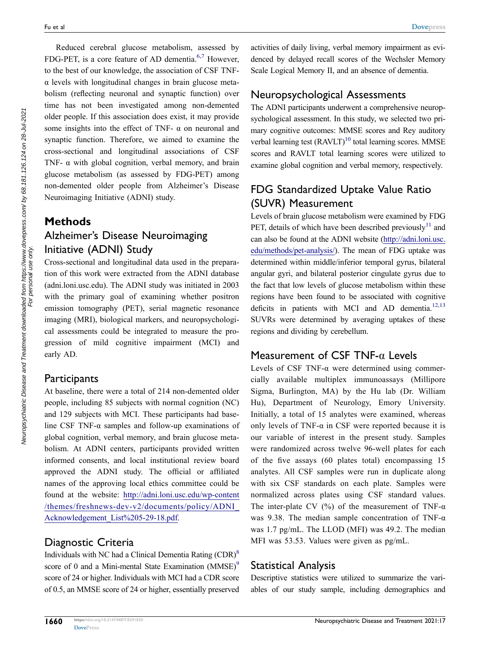<span id="page-1-0"></span>Reduced cerebral glucose metabolism, assessed by FDG-PET, is a core feature of AD dementia.<sup>6,[7](#page-6-6)</sup> However, to the best of our knowledge, the association of CSF TNFα levels with longitudinal changes in brain glucose metabolism (reflecting neuronal and synaptic function) over time has not been investigated among non-demented older people. If this association does exist, it may provide some insights into the effect of TNF-  $\alpha$  on neuronal and synaptic function. Therefore, we aimed to examine the cross-sectional and longitudinal associations of CSF TNF- $\alpha$  with global cognition, verbal memory, and brain glucose metabolism (as assessed by FDG-PET) among non-demented older people from Alzheimer's Disease Neuroimaging Initiative (ADNI) study.

## **Methods**

# Alzheimer's Disease Neuroimaging Initiative (ADNI) Study

Cross-sectional and longitudinal data used in the preparation of this work were extracted from the ADNI database (adni.loni.usc.edu). The ADNI study was initiated in 2003 with the primary goal of examining whether positron emission tomography (PET), serial magnetic resonance imaging (MRI), biological markers, and neuropsychological assessments could be integrated to measure the progression of mild cognitive impairment (MCI) and early AD.

#### **Participants**

At baseline, there were a total of 214 non-demented older people, including 85 subjects with normal cognition (NC) and 129 subjects with MCI. These participants had baseline CSF TNF- $\alpha$  samples and follow-up examinations of global cognition, verbal memory, and brain glucose metabolism. At ADNI centers, participants provided written informed consents, and local institutional review board approved the ADNI study. The official or affiliated names of the approving local ethics committee could be found at the website: [http://adni.loni.usc.edu/wp-content](http://adni.loni.usc.edu/wp-content/themes/freshnews-dev-v2/documents/policy/ADNI_Acknowledgement_List%205-29-18.pdf)  [/themes/freshnews-dev-v2/documents/policy/ADNI\\_](http://adni.loni.usc.edu/wp-content/themes/freshnews-dev-v2/documents/policy/ADNI_Acknowledgement_List%205-29-18.pdf) [Acknowledgement\\_List%205-29-18.pdf.](http://adni.loni.usc.edu/wp-content/themes/freshnews-dev-v2/documents/policy/ADNI_Acknowledgement_List%205-29-18.pdf)

## Diagnostic Criteria

<span id="page-1-2"></span><span id="page-1-1"></span>Individuals with NC had a Clinical Dementia Rating  $(CDR)^8$ score of 0 and a Mini-mental State Examination  $(MMSE)^9$ score of 24 or higher. Individuals with MCI had a CDR score of 0.5, an MMSE score of 24 or higher, essentially preserved activities of daily living, verbal memory impairment as evidenced by delayed recall scores of the Wechsler Memory Scale Logical Memory II, and an absence of dementia.

# Neuropsychological Assessments

<span id="page-1-3"></span>The ADNI participants underwent a comprehensive neuropsychological assessment. In this study, we selected two primary cognitive outcomes: MMSE scores and Rey auditory verbal learning test  $(RAVLT)^{10}$  total learning scores. MMSE scores and RAVLT total learning scores were utilized to examine global cognition and verbal memory, respectively.

# FDG Standardized Uptake Value Ratio (SUVR) Measurement

<span id="page-1-4"></span>Levels of brain glucose metabolism were examined by FDG PET, details of which have been described previously<sup>11</sup> and can also be found at the ADNI website [\(http://adni.loni.usc.](http://adni.loni.usc.edu/methods/pet-analysis/) [edu/methods/pet-analysis/\)](http://adni.loni.usc.edu/methods/pet-analysis/). The mean of FDG uptake was determined within middle/inferior temporal gyrus, bilateral angular gyri, and bilateral posterior cingulate gyrus due to the fact that low levels of glucose metabolism within these regions have been found to be associated with cognitive deficits in patients with MCI and AD dementia.<sup>12[,13](#page-6-12)</sup> SUVRs were determined by averaging uptakes of these regions and dividing by cerebellum.

## <span id="page-1-5"></span>Measurement of CSF TNF-α Levels

Levels of CSF TNF- $\alpha$  were determined using commercially available multiplex immunoassays (Millipore Sigma, Burlington, MA) by the Hu lab (Dr. William Hu), Department of Neurology, Emory University. Initially, a total of 15 analytes were examined, whereas only levels of TNF- $\alpha$  in CSF were reported because it is our variable of interest in the present study. Samples were randomized across twelve 96-well plates for each of the five assays (60 plates total) encompassing 15 analytes. All CSF samples were run in duplicate along with six CSF standards on each plate. Samples were normalized across plates using CSF standard values. The inter-plate CV (%) of the measurement of TNF- $\alpha$ was 9.38. The median sample concentration of TNF-α was 1.7 pg/mL. The LLOD (MFI) was 49.2. The median MFI was 53.53. Values were given as pg/mL.

## Statistical Analysis

Descriptive statistics were utilized to summarize the variables of our study sample, including demographics and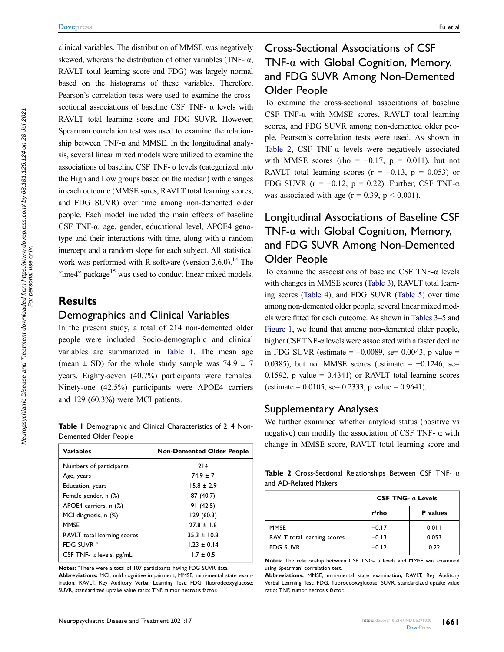clinical variables. The distribution of MMSE was negatively skewed, whereas the distribution of other variables (TNF- $\alpha$ , RAVLT total learning score and FDG) was largely normal based on the histograms of these variables. Therefore, Pearson's correlation tests were used to examine the crosssectional associations of baseline CSF TNF-  $\alpha$  levels with RAVLT total learning score and FDG SUVR. However, Spearman correlation test was used to examine the relationship between TNF- $\alpha$  and MMSE. In the longitudinal analysis, several linear mixed models were utilized to examine the associations of baseline CSF TNF- α levels (categorized into the High and Low groups based on the median) with changes in each outcome (MMSE sores, RAVLT total learning scores, and FDG SUVR) over time among non-demented older people. Each model included the main effects of baseline CSF TNF-α, age, gender, educational level, APOE4 genotype and their interactions with time, along with a random intercept and a random slope for each subject. All statistical work was performed with R software (version  $3.6.0$ ).<sup>14</sup> The "lme4" package $15$  was used to conduct linear mixed models.

#### <span id="page-2-3"></span><span id="page-2-2"></span>**Results**

#### Demographics and Clinical Variables

In the present study, a total of 214 non-demented older people were included. Socio-demographic and clinical variables are summarized in [Table 1](#page-2-0). The mean age (mean  $\pm$  SD) for the whole study sample was 74.9  $\pm$  7 years. Eighty-seven (40.7%) participants were females. Ninety-one (42.5%) participants were APOE4 carriers and 129 (60.3%) were MCI patients.

<span id="page-2-0"></span>**Table 1** Demographic and Clinical Characteristics of 214 Non-Demented Older People

| <b>Variables</b>                | <b>Non-Demented Older People</b> |
|---------------------------------|----------------------------------|
| Numbers of participants         | 214                              |
| Age, years                      | $74.9 \pm 7$                     |
| Education, years                | $15.8 \pm 2.9$                   |
| Female gender, n (%)            | 87 (40.7)                        |
| APOE4 carriers, n (%)           | 91 (42.5)                        |
| MCI diagnosis, n (%)            | 129(60.3)                        |
| <b>MMSE</b>                     | $27.8 \pm 1.8$                   |
| RAVLT total learning scores     | $35.3 \pm 10.8$                  |
| FDG SUVR <sup>a</sup>           | $1.23 \pm 0.14$                  |
| CSF TNF- $\alpha$ levels, pg/mL | $1.7 \pm 0.5$                    |

Notes: <sup>a</sup>There were a total of 107 participants having FDG SUVR data.

**Abbreviations:** MCI, mild cognitive impairment; MMSE, mini-mental state examination; RAVLT, Rey Auditory Verbal Learning Test; FDG, fluorodeoxyglucose; SUVR, standardized uptake value ratio; TNF, tumor necrosis factor.

# Cross-Sectional Associations of CSF TNF- $\alpha$  with Global Cognition, Memory, and FDG SUVR Among Non-Demented Older People

To examine the cross-sectional associations of baseline CSF TNF- $\alpha$  with MMSE scores, RAVLT total learning scores, and FDG SUVR among non-demented older people, Pearson's correlation tests were used. As shown in [Table 2](#page-2-1), CSF TNF- $\alpha$  levels were negatively associated with MMSE scores (rho =  $-0.17$ , p = 0.011), but not RAVLT total learning scores ( $r = -0.13$ ,  $p = 0.053$ ) or FDG SUVR ( $r = -0.12$ ,  $p = 0.22$ ). Further, CSF TNF- $\alpha$ was associated with age ( $r = 0.39$ ,  $p \le 0.001$ ).

# Longitudinal Associations of Baseline CSF TNF- $\alpha$  with Global Cognition, Memory, and FDG SUVR Among Non-Demented Older People

To examine the associations of baseline CSF TNF-α levels with changes in MMSE scores [\(Table 3](#page-3-0)), RAVLT total learning scores [\(Table 4](#page-3-1)), and FDG SUVR [\(Table 5](#page-3-2)) over time among non-demented older people, several linear mixed models were fitted for each outcome. As shown in [Tables 3](#page-3-0)[–5](#page-3-2) and [Figure 1](#page-4-0), we found that among non-demented older people, higher CSF TNF-α levels were associated with a faster decline in FDG SUVR (estimate =  $-0.0089$ , se= 0.0043, p value = 0.0385), but not MMSE scores (estimate =  $-0.1246$ , se= 0.1592, p value =  $0.4341$ ) or RAVLT total learning scores (estimate =  $0.0105$ , se=  $0.2333$ , p value =  $0.9641$ ).

#### Supplementary Analyses

We further examined whether amyloid status (positive vs negative) can modify the association of CSF TNF-  $\alpha$  with change in MMSE score, RAVLT total learning score and

<span id="page-2-1"></span>

| <b>Table 2</b> Cross-Sectional Relationships Between CSF TNF- $\alpha$ |  |  |  |
|------------------------------------------------------------------------|--|--|--|
| and AD-Related Makers                                                  |  |  |  |

|                             | CSF TNG- $\alpha$ Levels |                 |  |
|-----------------------------|--------------------------|-----------------|--|
|                             | r/rho                    | <b>P</b> values |  |
| <b>MMSE</b>                 | $-0.17$                  | 0.011           |  |
| RAVLT total learning scores | $-0.13$                  | 0.053           |  |
| <b>FDG SUVR</b>             | $-0.12$                  | 0.22            |  |

**Notes:** The relationship between CSF TNG- α levels and MMSE was examined using Spearman' correlation test.

**Abbreviations:** MMSE, mini-mental state examination; RAVLT, Rey Auditory Verbal Learning Test; FDG, fluorodeoxyglucose; SUVR, standardized uptake value ratio; TNF, tumor necrosis factor.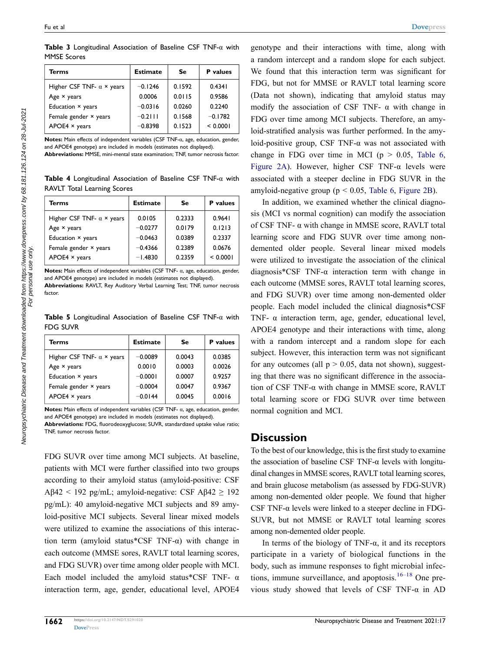<span id="page-3-0"></span>**Table 3** Longitudinal Association of Baseline CSF TNF-α with MMSE Scores

| Terms                            | <b>Estimate</b> | Se     | <b>P</b> values |
|----------------------------------|-----------------|--------|-----------------|
| Higher CSF TNF- $\alpha$ × years | $-0.1246$       | 0.1592 | 0.4341          |
| Age $\times$ years               | 0.0006          | 0.0115 | 0.9586          |
| Education × years                | $-0.0316$       | 0.0260 | 0.2240          |
| Female gender × years            | $-0.2111$       | 0.1568 | $-0.1782$       |
| $APOE4 \times years$             | $-0.8398$       | 0.1523 | < 0.0001        |

**Notes:** Main effects of independent variables (CSF TNF-α, age, education, gender, and APOE4 genotype) are included in models (estimates not displayed).

**Abbreviations:** MMSE, mini-mental state examination; TNF, tumor necrosis factor.

<span id="page-3-1"></span>**Table 4** Longitudinal Association of Baseline CSF TNF-α with RAVLT Total Learning Scores

| Terms                            | <b>Estimate</b> | Se     | <b>P</b> values |
|----------------------------------|-----------------|--------|-----------------|
| Higher CSF TNF- $\alpha$ × years | 0.0105          | 0.2333 | 0.9641          |
| Age $\times$ years               | $-0.0277$       | 0.0179 | 0.1213          |
| Education × years                | $-0.0463$       | 0.0389 | 0.2337          |
| Female gender × years            | $-0.4366$       | 0.2389 | 0.0676          |
| $APOE4 \times years$             | $-1.4830$       | 0.2359 | < 0.0001        |

**Notes:** Main effects of independent variables (CSF TNF- α, age, education, gender, and APOE4 genotype) are included in models (estimates not displayed).

**Abbreviations:** RAVLT, Rey Auditory Verbal Learning Test; TNF, tumor necrosis factor.

<span id="page-3-2"></span>**Table 5** Longitudinal Association of Baseline CSF TNF-α with FDG SUVR

| Terms                            | <b>Estimate</b> | Se     | <b>P</b> values |
|----------------------------------|-----------------|--------|-----------------|
| Higher CSF TNF- $\alpha$ × years | $-0.0089$       | 0.0043 | 0.0385          |
| Age $\times$ years               | 0.0010          | 0.0003 | 0.0026          |
| Education × years                | $-0.0001$       | 0.0007 | 0.9257          |
| Female gender × years            | $-0.0004$       | 0.0047 | 0.9367          |
| $APOE4 \times years$             | $-0.0144$       | 0.0045 | 0.0016          |

**Notes:** Main effects of independent variables (CSF TNF- α, age, education, gender, and APOE4 genotype) are included in models (estimates not displayed).

**Abbreviations:** FDG, fluorodeoxyglucose; SUVR, standardized uptake value ratio; TNF, tumor necrosis factor.

FDG SUVR over time among MCI subjects. At baseline, patients with MCI were further classified into two groups according to their amyloid status (amyloid-positive: CSF Aβ42 < 192 pg/mL; amyloid-negative: CSF Aβ42  $\ge$  192 pg/mL): 40 amyloid-negative MCI subjects and 89 amyloid-positive MCI subjects. Several linear mixed models were utilized to examine the associations of this interaction term (amyloid status\*CSF TNF- $\alpha$ ) with change in each outcome (MMSE sores, RAVLT total learning scores, and FDG SUVR) over time among older people with MCI. Each model included the amyloid status\*CSF TNF-  $\alpha$ interaction term, age, gender, educational level, APOE4

genotype and their interactions with time, along with a random intercept and a random slope for each subject. We found that this interaction term was significant for FDG, but not for MMSE or RAVLT total learning score (Data not shown), indicating that amyloid status may modify the association of CSF TNF-  $\alpha$  with change in FDG over time among MCI subjects. Therefore, an amyloid-stratified analysis was further performed. In the amyloid-positive group, CSF TNF- $\alpha$  was not associated with change in FDG over time in MCI ( $p > 0.05$ , [Table 6,](#page-4-1) [Figure 2A\)](#page-5-0). However, higher CSF TNF- $\alpha$  levels were associated with a steeper decline in FDG SUVR in the amyloid-negative group ( $p < 0.05$ , [Table 6,](#page-4-1) [Figure 2B\)](#page-5-0).

In addition, we examined whether the clinical diagnosis (MCI vs normal cognition) can modify the association of CSF TNF- α with change in MMSE score, RAVLT total learning score and FDG SUVR over time among nondemented older people. Several linear mixed models were utilized to investigate the association of the clinical diagnosis\*CSF TNF-α interaction term with change in each outcome (MMSE sores, RAVLT total learning scores, and FDG SUVR) over time among non-demented older people. Each model included the clinical diagnosis\*CSF TNF-  $\alpha$  interaction term, age, gender, educational level, APOE4 genotype and their interactions with time, along with a random intercept and a random slope for each subject. However, this interaction term was not significant for any outcomes (all  $p > 0.05$ , data not shown), suggesting that there was no significant difference in the association of CSF TNF-α with change in MMSE score, RAVLT total learning score or FDG SUVR over time between normal cognition and MCI.

#### **Discussion**

To the best of our knowledge, this is the first study to examine the association of baseline CSF TNF-α levels with longitudinal changes in MMSE scores, RAVLT total learning scores, and brain glucose metabolism (as assessed by FDG-SUVR) among non-demented older people. We found that higher CSF TNF- $\alpha$  levels were linked to a steeper decline in FDG-SUVR, but not MMSE or RAVLT total learning scores among non-demented older people.

<span id="page-3-3"></span>In terms of the biology of TNF- $\alpha$ , it and its receptors participate in a variety of biological functions in the body, such as immune responses to fight microbial infections, immune surveillance, and apoptosis. $16-18$  One previous study showed that levels of CSF TNF- $\alpha$  in AD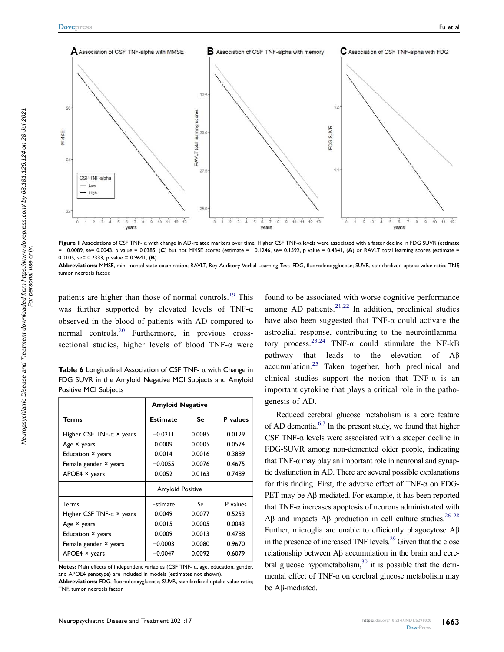<span id="page-4-0"></span>

**Figure 1** Associations of CSF TNF- α with change in AD-related markers over time. Higher CSF TNF-α levels were associated with a faster decline in FDG SUVR (estimate = −0.0089, se= 0.0043, p value = 0.0385, (**C**) but not MMSE scores (estimate = −0.1246, se= 0.1592, p value = 0.4341, (**A**) or RAVLT total learning scores (estimate = 0.0105, se= 0.2333, p value = 0.9641, (**B**).

**Abbreviations:** MMSE, mini-mental state examination; RAVLT, Rey Auditory Verbal Learning Test; FDG, fluorodeoxyglucose; SUVR, standardized uptake value ratio; TNF, tumor necrosis factor.

<span id="page-4-3"></span><span id="page-4-2"></span>patients are higher than those of normal controls.<sup>[19](#page-6-16)</sup> This was further supported by elevated levels of TNF- $\alpha$ observed in the blood of patients with AD compared to normal controls.<sup>20</sup> Furthermore, in previous crosssectional studies, higher levels of blood TNF-α were

<span id="page-4-1"></span>**Table 6** Longitudinal Association of CSF TNF- α with Change in FDG SUVR in the Amyloid Negative MCI Subjects and Amyloid Positive MCI Subjects

|                                  | <b>Amyloid Negative</b> |        |                 |
|----------------------------------|-------------------------|--------|-----------------|
| <b>Terms</b>                     | <b>Estimate</b>         | Se     | <b>P</b> values |
| Higher CSF TNF- $\alpha$ × years | $-0.0211$               | 0.0085 | 0.0129          |
| Age $\times$ years               | 0.0009                  | 0.0005 | 0.0574          |
| Education × years                | 0.0014                  | 0.0016 | 0.3889          |
| Female gender × years            | $-0.0055$               | 0.0076 | 0.4675          |
| $APOE4 \times years$             | 0.0052                  | 0.0163 | 0.7489          |
|                                  | <b>Amyloid Positive</b> |        |                 |
| <b>Terms</b>                     | Estimate                | Se     | P values        |
| Higher CSF TNF- $\alpha$ × years | 0.0049                  | 0.0077 | 0.5253          |
| Age $\times$ years               | 0.0015                  | 0.0005 | 0.0043          |
| Education × years                | 0.0009                  | 0.0013 | 0.4788          |
| Female gender × years            | $-0.0003$               | 0.0080 | 0.9670          |
| $APOE4 \times years$             | $-0.0047$               | 0.0092 | 0.6079          |

**Notes:** Main effects of independent variables (CSF TNF- α, age, education, gender, and APOE4 genotype) are included in models (estimates not shown).

**Abbreviations:** FDG, fluorodeoxyglucose; SUVR, standardized uptake value ratio; TNF, tumor necrosis factor.

<span id="page-4-5"></span><span id="page-4-4"></span>found to be associated with worse cognitive performance among AD patients. $21,22$  $21,22$  In addition, preclinical studies have also been suggested that TNF- $\alpha$  could activate the astroglial response, contributing to the neuroinflamma-tory process.<sup>[23,](#page-6-20)24</sup> TNF- $\alpha$  could stimulate the NF-kB pathway that leads to the elevation of Aβ accumulation.[25](#page-7-1) Taken together, both preclinical and clinical studies support the notion that TNF- $\alpha$  is an important cytokine that plays a critical role in the pathogenesis of AD.

<span id="page-4-9"></span><span id="page-4-8"></span><span id="page-4-7"></span><span id="page-4-6"></span>Reduced cerebral glucose metabolism is a core feature of AD dementia[.6,](#page-6-5)[7](#page-6-6) In the present study, we found that higher CSF TNF-α levels were associated with a steeper decline in FDG-SUVR among non-demented older people, indicating that TNF- $\alpha$  may play an important role in neuronal and synaptic dysfunction in AD. There are several possible explanations for this finding. First, the adverse effect of TNF- $\alpha$  on FDG-PET may be Aβ-mediated. For example, it has been reported that TNF- $α$  increases apoptosis of neurons administrated with Aβ and impacts Aβ production in cell culture studies.<sup>26–28</sup> Further, microglia are unable to efficiently phagocytose Aβ in the presence of increased TNF levels.<sup>29</sup> Given that the close relationship between Aβ accumulation in the brain and cerebral glucose hypometabolism,<sup>30</sup> it is possible that the detrimental effect of TNF- $\alpha$  on cerebral glucose metabolism may be Aβ-mediated.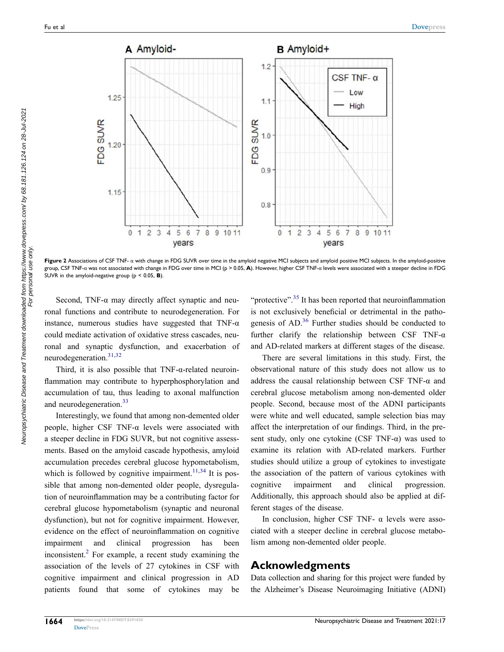<span id="page-5-0"></span>

**Figure 2** Associations of CSF TNF- α with change in FDG SUVR over time in the amyloid negative MCI subjects and amyloid positive MCI subjects. In the amyloid-positive group, CSF TNF-α was not associated with change in FDG over time in MCI (p > 0.05, **A**). However, higher CSF TNF-α levels were associated with a steeper decline in FDG SUVR in the amyloid-negative group (p < 0.05, **B**).

Second, TNF- $\alpha$  may directly affect synaptic and neuronal functions and contribute to neurodegeneration. For instance, numerous studies have suggested that TNF- $\alpha$ could mediate activation of oxidative stress cascades, neuronal and synaptic dysfunction, and exacerbation of neurodegeneration.[31](#page-7-5)[,32](#page-7-6)

<span id="page-5-1"></span>Third, it is also possible that TNF-α-related neuroinflammation may contribute to hyperphosphorylation and accumulation of tau, thus leading to axonal malfunction and neurodegeneration.<sup>[33](#page-7-7)</sup>

<span id="page-5-3"></span><span id="page-5-2"></span>Interestingly, we found that among non-demented older people, higher CSF TNF- $\alpha$  levels were associated with a steeper decline in FDG SUVR, but not cognitive assessments. Based on the amyloid cascade hypothesis, amyloid accumulation precedes cerebral glucose hypometabolism, which is followed by cognitive impairment.<sup>[11](#page-6-10),[34](#page-7-8)</sup> It is possible that among non-demented older people, dysregulation of neuroinflammation may be a contributing factor for cerebral glucose hypometabolism (synaptic and neuronal dysfunction), but not for cognitive impairment. However, evidence on the effect of neuroinflammation on cognitive impairment and clinical progression has been inconsistent.<sup>2</sup> For example, a recent study examining the association of the levels of 27 cytokines in CSF with cognitive impairment and clinical progression in AD patients found that some of cytokines may be

<span id="page-5-5"></span><span id="page-5-4"></span>"protective".<sup>35</sup> It has been reported that neuroinflammation is not exclusively beneficial or detrimental in the pathogenesis of  $AD<sup>36</sup>$  Further studies should be conducted to further clarify the relationship between CSF TNF- $\alpha$ and AD-related markers at different stages of the disease.

There are several limitations in this study. First, the observational nature of this study does not allow us to address the causal relationship between CSF TNF-α and cerebral glucose metabolism among non-demented older people. Second, because most of the ADNI participants were white and well educated, sample selection bias may affect the interpretation of our findings. Third, in the present study, only one cytokine (CSF TNF- $\alpha$ ) was used to examine its relation with AD-related markers. Further studies should utilize a group of cytokines to investigate the association of the pattern of various cytokines with cognitive impairment and clinical progression. Additionally, this approach should also be applied at different stages of the disease.

In conclusion, higher CSF TNF-  $\alpha$  levels were associated with a steeper decline in cerebral glucose metabolism among non-demented older people.

#### **Acknowledgments**

Data collection and sharing for this project were funded by the Alzheimer's Disease Neuroimaging Initiative (ADNI)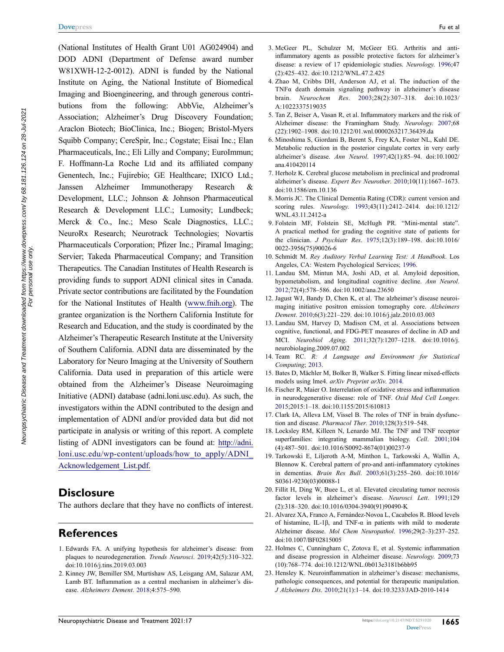(National Institutes of Health Grant U01 AG024904) and DOD ADNI (Department of Defense award number W81XWH-12-2-0012). ADNI is funded by the National Institute on Aging, the National Institute of Biomedical Imaging and Bioengineering, and through generous contributions from the following: AbbVie, Alzheimer's Association; Alzheimer's Drug Discovery Foundation; Araclon Biotech; BioClinica, Inc.; Biogen; Bristol-Myers Squibb Company; CereSpir, Inc.; Cogstate; Eisai Inc.; Elan Pharmaceuticals, Inc.; Eli Lilly and Company; EuroImmun; F. Hoffmann-La Roche Ltd and its affiliated company Genentech, Inc.; Fujirebio; GE Healthcare; IXICO Ltd.; Janssen Alzheimer Immunotherapy Research & Development, LLC.; Johnson & Johnson Pharmaceutical Research & Development LLC.; Lumosity; Lundbeck; Merck & Co., Inc.; Meso Scale Diagnostics, LLC.; NeuroRx Research; Neurotrack Technologies; Novartis Pharmaceuticals Corporation; Pfizer Inc.; Piramal Imaging; Servier; Takeda Pharmaceutical Company; and Transition Therapeutics. The Canadian Institutes of Health Research is providing funds to support ADNI clinical sites in Canada. Private sector contributions are facilitated by the Foundation for the National Institutes of Health [\(www.fnih.org](http://www.fnih.org)). The grantee organization is the Northern California Institute for Research and Education, and the study is coordinated by the Alzheimer's Therapeutic Research Institute at the University of Southern California. ADNI data are disseminated by the Laboratory for Neuro Imaging at the University of Southern California. Data used in preparation of this article were obtained from the Alzheimer's Disease Neuroimaging Initiative (ADNI) database (adni.loni.usc.edu). As such, the investigators within the ADNI contributed to the design and implementation of ADNI and/or provided data but did not participate in analysis or writing of this report. A complete listing of ADNI investigators can be found at: [http://adni.](http://adni.loni.usc.edu/wp-content/uploads/how_to_apply/ADNI_Acknowledgement_List.pdf.)  [loni.usc.edu/wp-content/uploads/how\\_to\\_apply/ADNI\\_](http://adni.loni.usc.edu/wp-content/uploads/how_to_apply/ADNI_Acknowledgement_List.pdf.)  [Acknowledgement\\_List.pdf.](http://adni.loni.usc.edu/wp-content/uploads/how_to_apply/ADNI_Acknowledgement_List.pdf.)

## **Disclosure**

The authors declare that they have no conflicts of interest.

#### **References**

- <span id="page-6-0"></span>1. Edwards FA. A unifying hypothesis for alzheimer's disease: from plaques to neurodegeneration. *Trends Neurosci*. [2019;](#page-0-0)42(5):310–322. doi:[10.1016/j.tins.2019.03.003](https://doi.org/10.1016/j.tins.2019.03.003)
- <span id="page-6-1"></span>2. Kinney JW, Bemiller SM, Murtishaw AS, Leisgang AM, Salazar AM, Lamb BT. Inflammation as a central mechanism in alzheimer's disease. *Alzheimers Dement*. [2018;](#page-0-1)4:575–590.
- <span id="page-6-2"></span>3. McGeer PL, Schulzer M, McGeer EG. Arthritis and antiinflammatory agents as possible protective factors for alzheimer's disease: a review of 17 epidemiologic studies. *Neurology*. [1996](#page-0-2);47 (2):425–432. doi:[10.1212/WNL.47.2.425](https://doi.org/10.1212/WNL.47.2.425)
- <span id="page-6-3"></span>4. Zhao M, Cribbs DH, Anderson AJ, et al. The induction of the TNFα death domain signaling pathway in alzheimer's disease brain. *Neurochem Res*. [2003](#page-0-3);28(2):307–318. doi:[10.1023/](https://doi.org/10.1023/A:1022337519035)  [A:1022337519035](https://doi.org/10.1023/A:1022337519035)
- <span id="page-6-4"></span>5. Tan Z, Beiser A, Vasan R, et al. Inflammatory markers and the risk of Alzheimer disease: the Framingham Study. *Neurology*. [2007](#page-0-4);68 (22):1902–1908. doi:[10.1212/01.wnl.0000263217.36439.da](https://doi.org/10.1212/01.wnl.0000263217.36439.da)
- <span id="page-6-5"></span>6. Minoshima S, Giordani B, Berent S, Frey KA, Foster NL, Kuhl DE. Metabolic reduction in the posterior cingulate cortex in very early alzheimer's disease. *Ann Neurol*. [1997](#page-1-0);42(1):85–94. doi:[10.1002/](https://doi.org/10.1002/ana.410420114) [ana.410420114](https://doi.org/10.1002/ana.410420114)
- <span id="page-6-6"></span>7. Herholz K. Cerebral glucose metabolism in preclinical and prodromal alzheimer's disease. *Expert Rev Neurother*. [2010;](#page-1-0)10(11):1667–1673. doi:[10.1586/ern.10.136](https://doi.org/10.1586/ern.10.136)
- <span id="page-6-7"></span>8. Morris JC. The Clinical Dementia Rating (CDR): current version and scoring rules. *Neurology*. [1993](#page-1-1);43(11):2412–2414. doi:[10.1212/](https://doi.org/10.1212/WNL.43.11.2412-a) [WNL.43.11.2412-a](https://doi.org/10.1212/WNL.43.11.2412-a)
- <span id="page-6-8"></span>9. Folstein MF, Folstein SE, McHugh PR. "Mini-mental state". A practical method for grading the cognitive state of patients for the clinician. *J Psychiatr Res*. [1975](#page-1-2);12(3):189–198. doi:[10.1016/](https://doi.org/10.1016/0022-3956(75)90026-6) [0022-3956\(75\)90026-6](https://doi.org/10.1016/0022-3956(75)90026-6)
- <span id="page-6-9"></span>10. Schmidt M. *Rey Auditory Verbal Learning Test: A Handbook*. Los Angeles, CA: Western Psychological Services; [1996](#page-1-3).
- <span id="page-6-10"></span>11. Landau SM, Mintun MA, Joshi AD, et al. Amyloid deposition, hypometabolism, and longitudinal cognitive decline. *Ann Neurol*. [2012](#page-1-4);72(4):578–586. doi:[10.1002/ana.23650](https://doi.org/10.1002/ana.23650)
- <span id="page-6-11"></span>12. Jagust WJ, Bandy D, Chen K, et al. The alzheimer's disease neuroimaging initiative positron emission tomography core. *Alzheimers Dement*. [2010;](#page-1-5)6(3):221–229. doi:[10.1016/j.jalz.2010.03.003](https://doi.org/10.1016/j.jalz.2010.03.003)
- <span id="page-6-12"></span>13. Landau SM, Harvey D, Madison CM, et al. Associations between cognitive, functional, and FDG-PET measures of decline in AD and MCI. *Neurobiol Aging*. [2011](#page-1-5);32(7):1207–1218. doi:[10.1016/j.](https://doi.org/10.1016/j.neurobiolaging.2009.07.002) [neurobiolaging.2009.07.002](https://doi.org/10.1016/j.neurobiolaging.2009.07.002)
- <span id="page-6-13"></span>14. Team RC. *R: A Language and Environment for Statistical Computing*; [2013.](#page-2-2)
- <span id="page-6-14"></span>15. Bates D, Mächler M, Bolker B, Walker S. Fitting linear mixed-effects models using lme4. *arXiv Preprint arXiv*. [2014.](#page-2-3)
- <span id="page-6-15"></span>16. Fischer R, Maier O. Interrelation of oxidative stress and inflammation in neurodegenerative disease: role of TNF. *Oxid Med Cell Longev*. [2015](#page-3-3);2015:1–18. doi:[10.1155/2015/610813](https://doi.org/10.1155/2015/610813)
- 17. Clark IA, Alleva LM, Vissel B. The roles of TNF in brain dysfunction and disease. *Pharmacol Ther*. 2010;128(3):519–548.
- 18. Locksley RM, Killeen N, Lenardo MJ. The TNF and TNF receptor superfamilies: integrating mammalian biology. *Cell*. 2001;104 (4):487–501. doi:[10.1016/S0092-8674\(01\)00237-9](https://doi.org/10.1016/S0092-8674(01)00237-9)
- <span id="page-6-16"></span>19. Tarkowski E, Liljeroth A-M, Minthon L, Tarkowski A, Wallin A, Blennow K. Cerebral pattern of pro-and anti-inflammatory cytokines in dementias. *Brain Res Bull*. [2003;](#page-4-2)61(3):255–260. doi:[10.1016/](https://doi.org/10.1016/S0361-9230(03)00088-1) [S0361-9230\(03\)00088-1](https://doi.org/10.1016/S0361-9230(03)00088-1)
- <span id="page-6-17"></span>20. Fillit H, Ding W, Buee L, et al. Elevated circulating tumor necrosis factor levels in alzheimer's disease. *Neurosci Lett*. [1991](#page-4-3);129 (2):318–320. doi:[10.1016/0304-3940\(91\)90490-K](https://doi.org/10.1016/0304-3940(91)90490-K)
- <span id="page-6-18"></span>21. Alvarez XA, Franco A, Fernández-Novoa L, Cacabelos R. Blood levels of histamine, IL-1 $\beta$ , and TNF- $\alpha$  in patients with mild to moderate Alzheimer disease. *Mol Chem Neuropathol*. [1996;](#page-4-4)29(2–3):237–252. doi:[10.1007/BF02815005](https://doi.org/10.1007/BF02815005)
- <span id="page-6-19"></span>22. Holmes C, Cunningham C, Zotova E, et al. Systemic inflammation and disease progression in Alzheimer disease. *Neurology*. [2009](#page-4-4);73 (10):768–774. doi:[10.1212/WNL.0b013e3181b6bb95](https://doi.org/10.1212/WNL.0b013e3181b6bb95)
- <span id="page-6-20"></span>23. Hensley K. Neuroinflammation in alzheimer's disease: mechanisms, pathologic consequences, and potential for therapeutic manipulation. *J Alzheimers Dis*. [2010;](#page-4-5)21(1):1–14. doi:[10.3233/JAD-2010-1414](https://doi.org/10.3233/JAD-2010-1414)